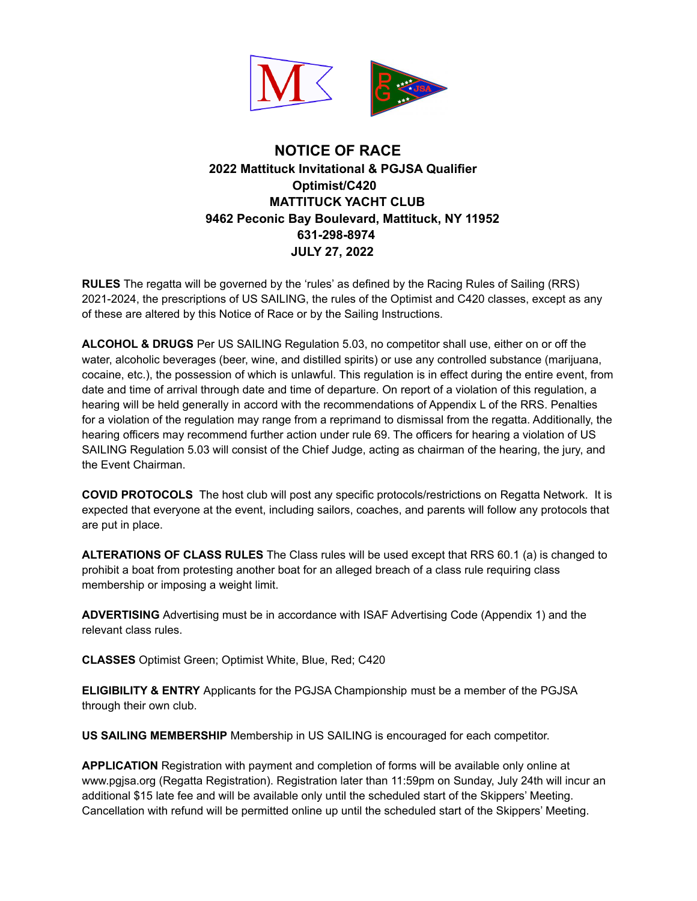

## **NOTICE OF RACE 2022 Mattituck Invitational & PGJSA Qualifier Optimist/C420 MATTITUCK YACHT CLUB 9462 Peconic Bay Boulevard, Mattituck, NY 11952 631-298-8974 JULY 27, 2022**

**RULES** The regatta will be governed by the 'rules' as defined by the Racing Rules of Sailing (RRS) 2021-2024, the prescriptions of US SAILING, the rules of the Optimist and C420 classes, except as any of these are altered by this Notice of Race or by the Sailing Instructions.

**ALCOHOL & DRUGS** Per US SAILING Regulation 5.03, no competitor shall use, either on or off the water, alcoholic beverages (beer, wine, and distilled spirits) or use any controlled substance (marijuana, cocaine, etc.), the possession of which is unlawful. This regulation is in effect during the entire event, from date and time of arrival through date and time of departure. On report of a violation of this regulation, a hearing will be held generally in accord with the recommendations of Appendix L of the RRS. Penalties for a violation of the regulation may range from a reprimand to dismissal from the regatta. Additionally, the hearing officers may recommend further action under rule 69. The officers for hearing a violation of US SAILING Regulation 5.03 will consist of the Chief Judge, acting as chairman of the hearing, the jury, and the Event Chairman.

**COVID PROTOCOLS** The host club will post any specific protocols/restrictions on Regatta Network. It is expected that everyone at the event, including sailors, coaches, and parents will follow any protocols that are put in place.

**ALTERATIONS OF CLASS RULES** The Class rules will be used except that RRS 60.1 (a) is changed to prohibit a boat from protesting another boat for an alleged breach of a class rule requiring class membership or imposing a weight limit.

**ADVERTISING** Advertising must be in accordance with ISAF Advertising Code (Appendix 1) and the relevant class rules.

**CLASSES** Optimist Green; Optimist White, Blue, Red; C420

**ELIGIBILITY & ENTRY** Applicants for the PGJSA Championship must be a member of the PGJSA through their own club.

**US SAILING MEMBERSHIP** Membership in US SAILING is encouraged for each competitor.

**APPLICATION** Registration with payment and completion of forms will be available only online at www.pgjsa.org (Regatta Registration). Registration later than 11:59pm on Sunday, July 24th will incur an additional \$15 late fee and will be available only until the scheduled start of the Skippers' Meeting. Cancellation with refund will be permitted online up until the scheduled start of the Skippers' Meeting.